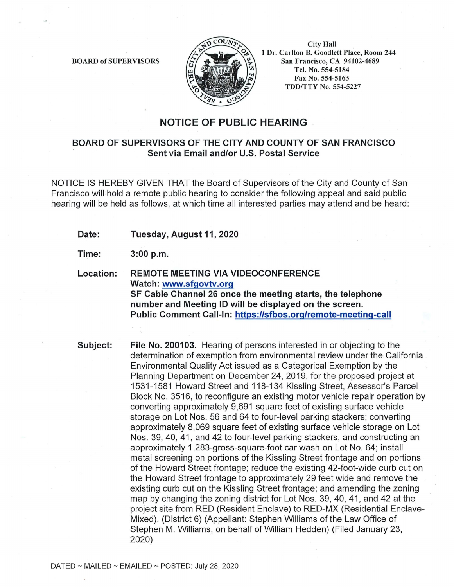BOARD of SUPERVISORS



**City Hall** 1 Dr. Carlton B. Goodlett Place, Room 244 San Francisco, CA 94102-4689 Tel. No. 554-5184 Fax No. 554-5163 TDD/TTY No. 554-5227

## **NOTICE OF PUBLIC HEARING**

## **BOARD OF SUPERVISORS OF THE CITY AND COUNTY OF SAN FRANCISCO Sent via Email and/or U.S. Postal Service**

NOTICE IS HEREBY GIVEN THAT the Board of Supervisors of the City and County of San Francisco will hold a remote public hearing to consider the following appeal and said public hearing will be held as follows, at which time all interested parties may attend and be heard:

**Date: Tuesday, August 11, 2020** 

**Time: 3:00 p.m.** 

**Location: REMOTE MEETING VIA VIDEOCONFERENCE Watch: www.sfgovtv.org SF Cable Channel 26 once the meeting starts, the telephone number and Meeting ID will be displayed on the screen. Public Comment Call-In: https://sfbos.org/remote-meeting-call** 

**Subject: File No. 200103.** Hearing of persons interested in or objecting to the determination of exemption from environmental review under the California Environmental Quality Act issued as a Categorical Exemption by the Planning Department on December 24, 2019, for the proposed project at 1531-1581 Howard Street and 118-134 Kissling Street, Assessor's Parcel Block No. 3516, to reconfigure an existing motor vehicle repair operation by converting approximately 9,691 square feet of existing surface vehicle storage on Lot Nos. 56 and 64 to four-level parking stackers; converting approximately 8,069 square feet of existing surface vehicle storage on Lot Nos. 39, 40, 41, and 42 to four-level parking stackers, and constructing an approximately 1,283-gross-square-foot car wash on Lot No. 64; install metal screening on portions of the Kissling Street frontage and on portions of the Howard Street frontage; reduce the existing 42-foot-wide curb cut on the Howard Street frontage to approximately 29 feet wide and remove the existing curb cut on the Kissling Street frontage; and amending the zoning map by changing the zoning district for Lot Nos. 39, 40, 41, and 42 at the project site from RED (Resident Enclave) to RED-MX (Residential Enclave-Mixed). (District 6) (Appellant: Stephen Williams of the Law Office of Stephen M. Williams, on behalf of William Hedden) (Filed January 23, 2020)